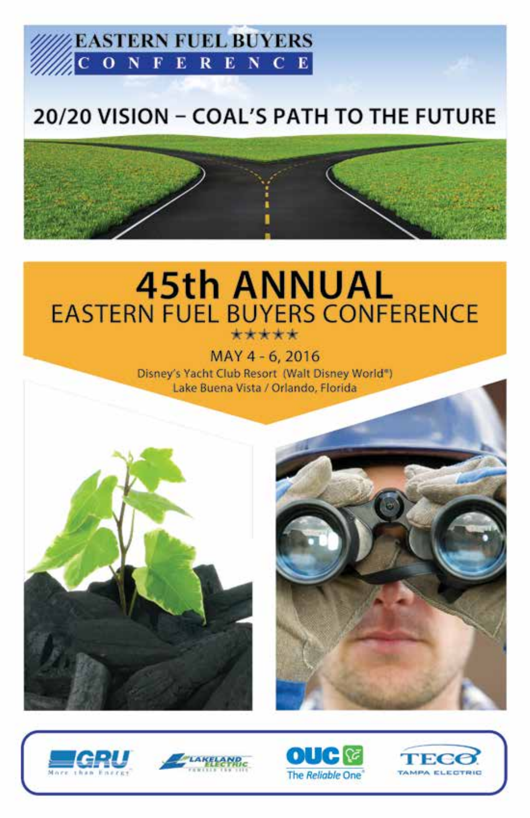

# 20/20 VISION - COAL'S PATH TO THE FUTURE



# **45th ANNUAL EASTERN FUEL BUYERS CONFERENCE** \*\*\*\*\*

MAY 4 - 6, 2016 Disney's Yacht Club Resort (Walt Disney World") Lake Buena Vista / Orlando, Florida











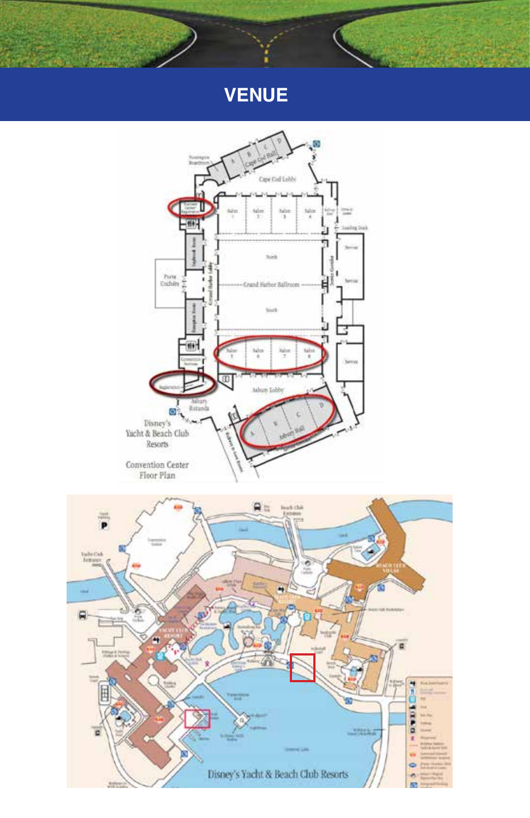# **VENUE**

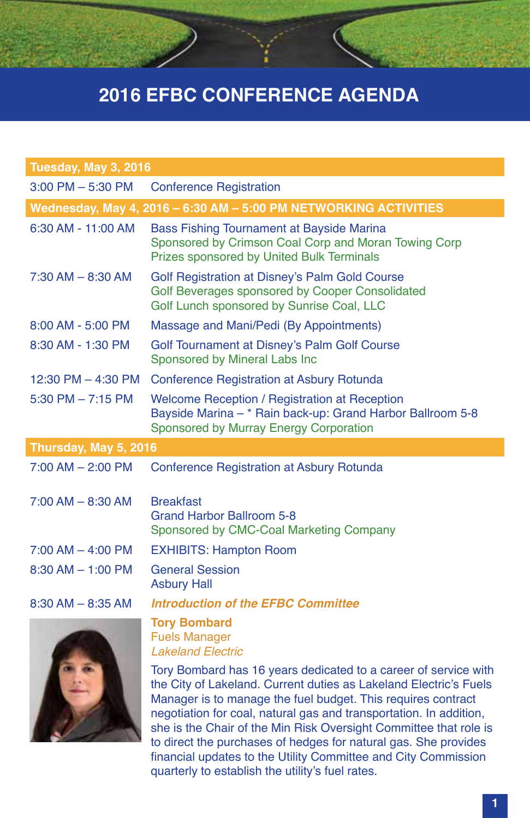| Tuesday, May 3, 2016                                             |                                                                                                                                                                                                                                                                                                                                                                                                                    |  |
|------------------------------------------------------------------|--------------------------------------------------------------------------------------------------------------------------------------------------------------------------------------------------------------------------------------------------------------------------------------------------------------------------------------------------------------------------------------------------------------------|--|
| $3:00$ PM $-5:30$ PM                                             | <b>Conference Registration</b>                                                                                                                                                                                                                                                                                                                                                                                     |  |
| Wednesday, May 4, 2016 - 6:30 AM - 5:00 PM NETWORKING ACTIVITIES |                                                                                                                                                                                                                                                                                                                                                                                                                    |  |
| 6:30 AM - 11:00 AM                                               | <b>Bass Fishing Tournament at Bayside Marina</b><br>Sponsored by Crimson Coal Corp and Moran Towing Corp<br>Prizes sponsored by United Bulk Terminals                                                                                                                                                                                                                                                              |  |
| $7:30$ AM $-$ 8:30 AM                                            | Golf Registration at Disney's Palm Gold Course<br>Golf Beverages sponsored by Cooper Consolidated<br>Golf Lunch sponsored by Sunrise Coal, LLC                                                                                                                                                                                                                                                                     |  |
| 8:00 AM - 5:00 PM                                                | Massage and Mani/Pedi (By Appointments)                                                                                                                                                                                                                                                                                                                                                                            |  |
| 8:30 AM - 1:30 PM                                                | Golf Tournament at Disney's Palm Golf Course<br>Sponsored by Mineral Labs Inc                                                                                                                                                                                                                                                                                                                                      |  |
| 12:30 PM - 4:30 PM                                               | Conference Registration at Asbury Rotunda                                                                                                                                                                                                                                                                                                                                                                          |  |
| 5:30 PM $- 7:15$ PM                                              | Welcome Reception / Registration at Reception<br>Bayside Marina - * Rain back-up: Grand Harbor Ballroom 5-8<br>Sponsored by Murray Energy Corporation                                                                                                                                                                                                                                                              |  |
| Thursday, May 5, 2016                                            |                                                                                                                                                                                                                                                                                                                                                                                                                    |  |
| $7:00$ AM $- 2:00$ PM                                            | Conference Registration at Asbury Rotunda                                                                                                                                                                                                                                                                                                                                                                          |  |
| 7:00 AM - 8:30 AM                                                | <b>Breakfast</b><br><b>Grand Harbor Ballroom 5-8</b><br>Sponsored by CMC-Coal Marketing Company                                                                                                                                                                                                                                                                                                                    |  |
| $7:00$ AM $-$ 4:00 PM                                            | <b>EXHIBITS: Hampton Room</b>                                                                                                                                                                                                                                                                                                                                                                                      |  |
| $8:30$ AM $-$ 1:00 PM                                            | <b>General Session</b><br><b>Asbury Hall</b>                                                                                                                                                                                                                                                                                                                                                                       |  |
| $8:30$ AM $- 8:35$ AM                                            | <b>Introduction of the EFBC Committee</b>                                                                                                                                                                                                                                                                                                                                                                          |  |
|                                                                  | <b>Tory Bombard</b><br><b>Fuels Manager</b><br><b>Lakeland Electric</b>                                                                                                                                                                                                                                                                                                                                            |  |
|                                                                  | Tory Bombard has 16 years dedicated to a career of service with<br>the City of Lakeland. Current duties as Lakeland Electric's Fuels<br>Manager is to manage the fuel budget. This requires contract<br>negotiation for coal, natural gas and transportation. In addition,<br>she is the Chair of the Min Risk Oversight Committee that role is<br>to direct the purchases of hedges for natural gas. She provides |  |

financial updates to the Utility Committee and City Commission

quarterly to establish the utility's fuel rates.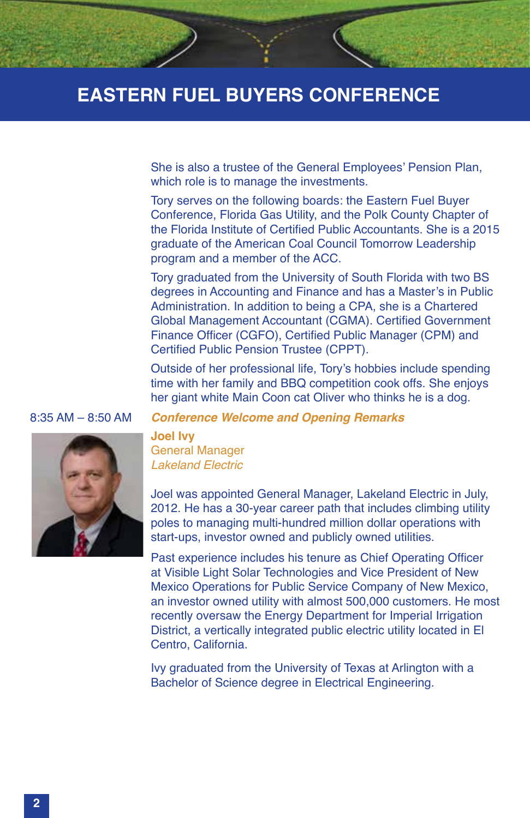She is also a trustee of the General Employees' Pension Plan, which role is to manage the investments.

Tory serves on the following boards: the Eastern Fuel Buyer Conference, Florida Gas Utility, and the Polk County Chapter of the Florida Institute of Certified Public Accountants. She is a 2015 graduate of the American Coal Council Tomorrow Leadership program and a member of the ACC.

Tory graduated from the University of South Florida with two BS degrees in Accounting and Finance and has a Master's in Public Administration. In addition to being a CPA, she is a Chartered Global Management Accountant (CGMA). Certified Government Finance Officer (CGFO), Certified Public Manager (CPM) and Certified Public Pension Trustee (CPPT).

Outside of her professional life, Tory's hobbies include spending time with her family and BBQ competition cook offs. She enjoys her giant white Main Coon cat Oliver who thinks he is a dog.





**Joel Ivy** General Manager *Lakeland Electric*

Joel was appointed General Manager, Lakeland Electric in July, 2012. He has a 30-year career path that includes climbing utility poles to managing multi-hundred million dollar operations with start-ups, investor owned and publicly owned utilities.

Past experience includes his tenure as Chief Operating Officer at Visible Light Solar Technologies and Vice President of New Mexico Operations for Public Service Company of New Mexico, an investor owned utility with almost 500,000 customers. He most recently oversaw the Energy Department for Imperial Irrigation District, a vertically integrated public electric utility located in El Centro, California.

Ivy graduated from the University of Texas at Arlington with a Bachelor of Science degree in Electrical Engineering.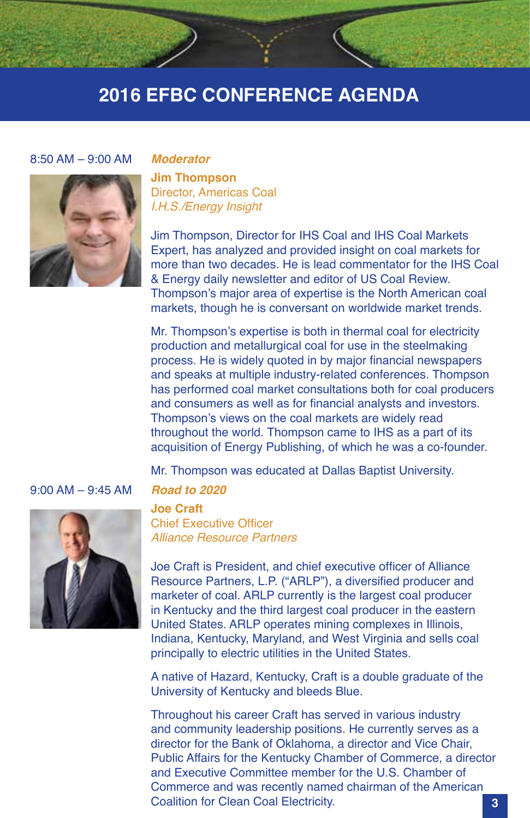#### 8:50 AM – 9:00 AM *Moderator*



**Jim Thompson** Director, Americas Coal *I.H.S./Energy Insight*

Jim Thompson, Director for IHS Coal and IHS Coal Markets Expert, has analyzed and provided insight on coal markets for more than two decades. He is lead commentator for the IHS Coal & Energy daily newsletter and editor of US Coal Review. Thompson's major area of expertise is the North American coal markets, though he is conversant on worldwide market trends.

Mr. Thompson's expertise is both in thermal coal for electricity production and metallurgical coal for use in the steelmaking process. He is widely quoted in by major financial newspapers and speaks at multiple industry-related conferences. Thompson has performed coal market consultations both for coal producers and consumers as well as for financial analysts and investors. Thompson's views on the coal markets are widely read throughout the world. Thompson came to IHS as a part of its acquisition of Energy Publishing, of which he was a co-founder.

Mr. Thompson was educated at Dallas Baptist University.

9:00 AM – 9:45 AM *Road to 2020*



**Joe Craft** Chief Executive Officer *Alliance Resource Partners*

Joe Craft is President, and chief executive officer of Alliance Resource Partners, L.P. ("ARLP"), a diversified producer and marketer of coal. ARLP currently is the largest coal producer in Kentucky and the third largest coal producer in the eastern United States. ARLP operates mining complexes in Illinois, Indiana, Kentucky, Maryland, and West Virginia and sells coal principally to electric utilities in the United States.

A native of Hazard, Kentucky, Craft is a double graduate of the University of Kentucky and bleeds Blue.

Throughout his career Craft has served in various industry and community leadership positions. He currently serves as a director for the Bank of Oklahoma, a director and Vice Chair, Public Affairs for the Kentucky Chamber of Commerce, a director and Executive Committee member for the U.S. Chamber of Commerce and was recently named chairman of the American Coalition for Clean Coal Electricity. **3**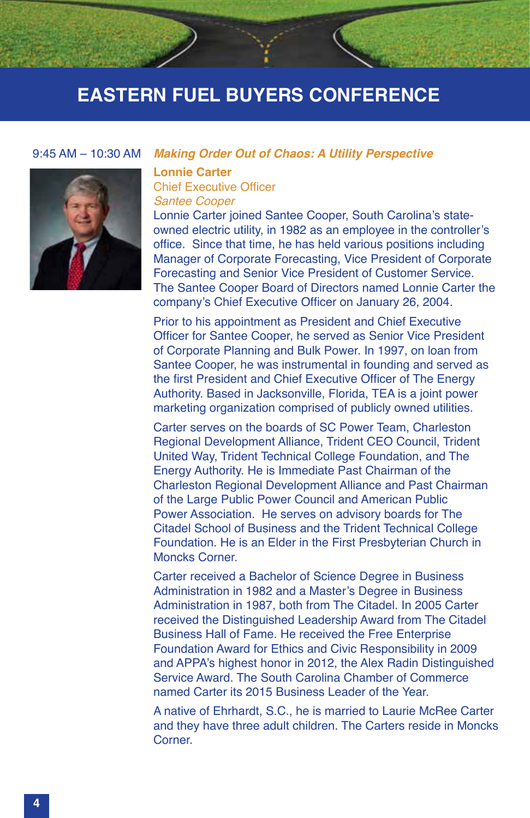

#### 9:45 AM – 10:30 AM *Making Order Out of Chaos: A Utility Perspective*

#### **Lonnie Carter** Chief Executive Officer

#### *Santee Cooper*

Lonnie Carter joined Santee Cooper, South Carolina's stateowned electric utility, in 1982 as an employee in the controller's office. Since that time, he has held various positions including Manager of Corporate Forecasting, Vice President of Corporate Forecasting and Senior Vice President of Customer Service. The Santee Cooper Board of Directors named Lonnie Carter the company's Chief Executive Officer on January 26, 2004.

Prior to his appointment as President and Chief Executive Officer for Santee Cooper, he served as Senior Vice President of Corporate Planning and Bulk Power. In 1997, on loan from Santee Cooper, he was instrumental in founding and served as the first President and Chief Executive Officer of The Energy Authority. Based in Jacksonville, Florida, TEA is a joint power marketing organization comprised of publicly owned utilities.

Carter serves on the boards of SC Power Team, Charleston Regional Development Alliance, Trident CEO Council, Trident United Way, Trident Technical College Foundation, and The Energy Authority. He is Immediate Past Chairman of the Charleston Regional Development Alliance and Past Chairman of the Large Public Power Council and American Public Power Association. He serves on advisory boards for The Citadel School of Business and the Trident Technical College Foundation. He is an Elder in the First Presbyterian Church in Moncks Corner.

Carter received a Bachelor of Science Degree in Business Administration in 1982 and a Master's Degree in Business Administration in 1987, both from The Citadel. In 2005 Carter received the Distinguished Leadership Award from The Citadel Business Hall of Fame. He received the Free Enterprise Foundation Award for Ethics and Civic Responsibility in 2009 and APPA's highest honor in 2012, the Alex Radin Distinguished Service Award. The South Carolina Chamber of Commerce named Carter its 2015 Business Leader of the Year.

A native of Ehrhardt, S.C., he is married to Laurie McRee Carter and they have three adult children. The Carters reside in Moncks **Corner**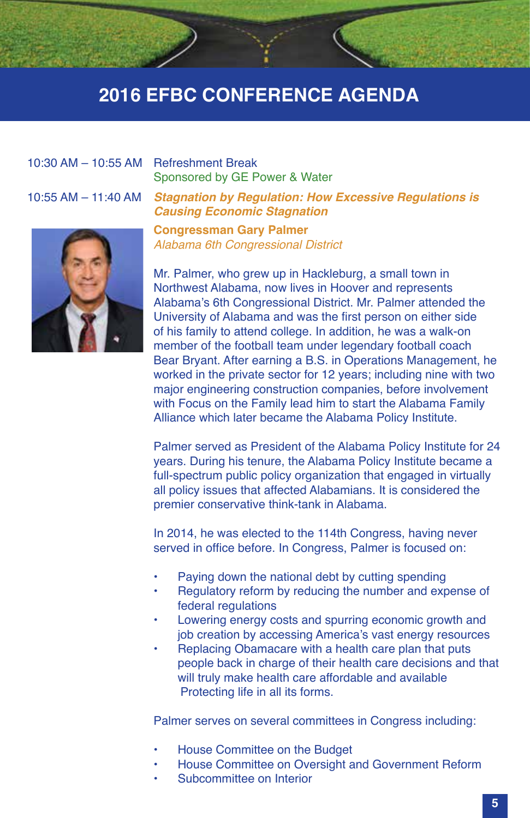# 10:30 AM – 10:55 AM Refreshment Break

10:55 AM – 11:40 AM *Stagnation by Regulation: How Excessive Regulations is* 



#### **Congressman Gary Palmer** *Alabama 6th Congressional District*

Sponsored by GE Power & Water

*Causing Economic Stagnation*

Mr. Palmer, who grew up in Hackleburg, a small town in Northwest Alabama, now lives in Hoover and represents Alabama's 6th Congressional District. Mr. Palmer attended the University of Alabama and was the first person on either side of his family to attend college. In addition, he was a walk-on member of the football team under legendary football coach Bear Bryant. After earning a B.S. in Operations Management, he worked in the private sector for 12 years; including nine with two major engineering construction companies, before involvement with Focus on the Family lead him to start the Alabama Family Alliance which later became the Alabama Policy Institute.

Palmer served as President of the Alabama Policy Institute for 24 years. During his tenure, the Alabama Policy Institute became a full-spectrum public policy organization that engaged in virtually all policy issues that affected Alabamians. It is considered the premier conservative think-tank in Alabama.

In 2014, he was elected to the 114th Congress, having never served in office before. In Congress, Palmer is focused on:

- Paying down the national debt by cutting spending
- Regulatory reform by reducing the number and expense of federal regulations
- Lowering energy costs and spurring economic growth and job creation by accessing America's vast energy resources
- Replacing Obamacare with a health care plan that puts people back in charge of their health care decisions and that will truly make health care affordable and available Protecting life in all its forms.

Palmer serves on several committees in Congress including:

- House Committee on the Budget
- House Committee on Oversight and Government Reform
- Subcommittee on Interior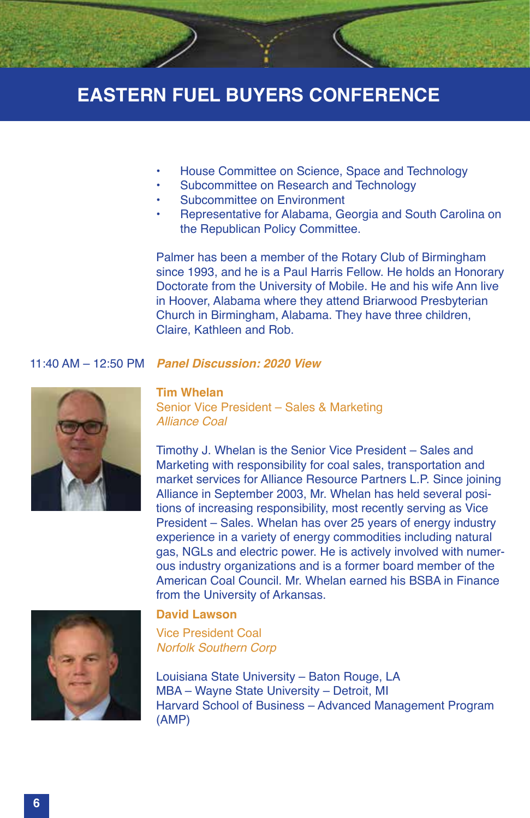

- House Committee on Science, Space and Technology
- Subcommittee on Research and Technology
- Subcommittee on Environment
- Representative for Alabama, Georgia and South Carolina on the Republican Policy Committee.

Palmer has been a member of the Rotary Club of Birmingham since 1993, and he is a Paul Harris Fellow. He holds an Honorary Doctorate from the University of Mobile. He and his wife Ann live in Hoover, Alabama where they attend Briarwood Presbyterian Church in Birmingham, Alabama. They have three children, Claire, Kathleen and Rob.

#### 11:40 AM – 12:50 PM *Panel Discussion: 2020 View*



**Tim Whelan** Senior Vice President – Sales & Marketing *Alliance Coal*

Timothy J. Whelan is the Senior Vice President – Sales and Marketing with responsibility for coal sales, transportation and market services for Alliance Resource Partners L.P. Since joining Alliance in September 2003, Mr. Whelan has held several positions of increasing responsibility, most recently serving as Vice President – Sales. Whelan has over 25 years of energy industry experience in a variety of energy commodities including natural gas, NGLs and electric power. He is actively involved with numerous industry organizations and is a former board member of the American Coal Council. Mr. Whelan earned his BSBA in Finance from the University of Arkansas.



#### **David Lawson**

Vice President Coal *Norfolk Southern Corp*

Louisiana State University – Baton Rouge, LA MBA – Wayne State University – Detroit, MI Harvard School of Business – Advanced Management Program (AMP)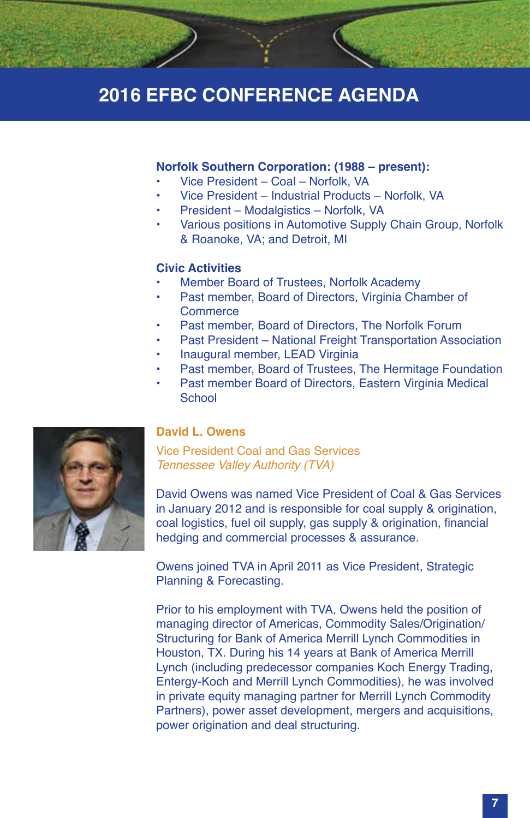#### **Norfolk Southern Corporation: (1988 – present):**

- Vice President Coal Norfolk, VA
- Vice President Industrial Products Norfolk, VA
- President Modalgistics Norfolk, VA
- Various positions in Automotive Supply Chain Group, Norfolk & Roanoke, VA; and Detroit, MI

#### **Civic Activities**

- Member Board of Trustees, Norfolk Academy
- Past member, Board of Directors, Virginia Chamber of **Commerce**
- Past member, Board of Directors, The Norfolk Forum
- Past President National Freight Transportation Association
- Inaugural member, LEAD Virginia
- Past member, Board of Trustees, The Hermitage Foundation
- Past member Board of Directors, Eastern Virginia Medical **School**



#### **David L. Owens**

Vice President Coal and Gas Services *Tennessee Valley Authority (TVA)*

David Owens was named Vice President of Coal & Gas Services in January 2012 and is responsible for coal supply & origination, coal logistics, fuel oil supply, gas supply & origination, financial hedging and commercial processes & assurance.

Owens joined TVA in April 2011 as Vice President, Strategic Planning & Forecasting.

Prior to his employment with TVA, Owens held the position of managing director of Americas, Commodity Sales/Origination/ Structuring for Bank of America Merrill Lynch Commodities in Houston, TX. During his 14 years at Bank of America Merrill Lynch (including predecessor companies Koch Energy Trading, Entergy-Koch and Merrill Lynch Commodities), he was involved in private equity managing partner for Merrill Lynch Commodity Partners), power asset development, mergers and acquisitions, power origination and deal structuring.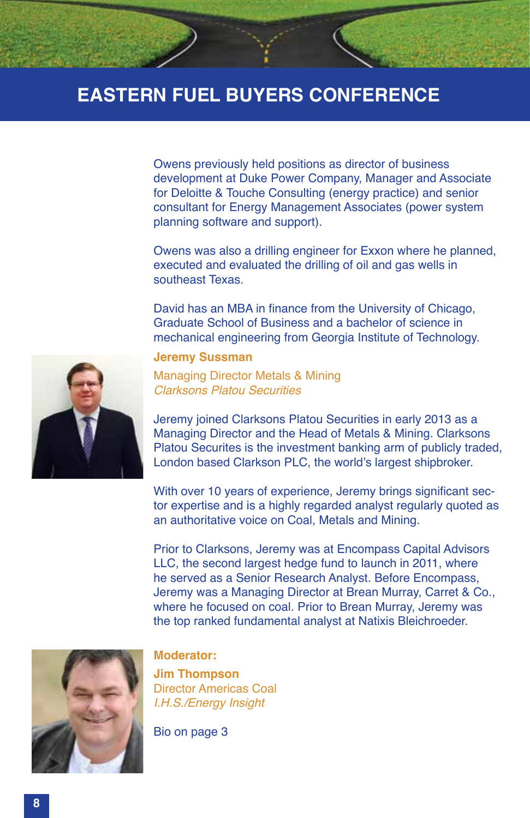Owens previously held positions as director of business development at Duke Power Company, Manager and Associate for Deloitte & Touche Consulting (energy practice) and senior consultant for Energy Management Associates (power system planning software and support).

Owens was also a drilling engineer for Exxon where he planned, executed and evaluated the drilling of oil and gas wells in southeast Texas.

David has an MBA in finance from the University of Chicago, Graduate School of Business and a bachelor of science in mechanical engineering from Georgia Institute of Technology.

#### **Jeremy Sussman**

Managing Director Metals & Mining *Clarksons Platou Securities*

Jeremy joined Clarksons Platou Securities in early 2013 as a Managing Director and the Head of Metals & Mining. Clarksons Platou Securites is the investment banking arm of publicly traded, London based Clarkson PLC, the world's largest shipbroker.

With over 10 years of experience, Jeremy brings significant sector expertise and is a highly regarded analyst regularly quoted as an authoritative voice on Coal, Metals and Mining.

Prior to Clarksons, Jeremy was at Encompass Capital Advisors LLC, the second largest hedge fund to launch in 2011, where he served as a Senior Research Analyst. Before Encompass, Jeremy was a Managing Director at Brean Murray, Carret & Co., where he focused on coal. Prior to Brean Murray, Jeremy was the top ranked fundamental analyst at Natixis Bleichroeder.



#### **Moderator:**

**Jim Thompson** Director Americas Coal *I.H.S./Energy Insight*

Bio on page 3

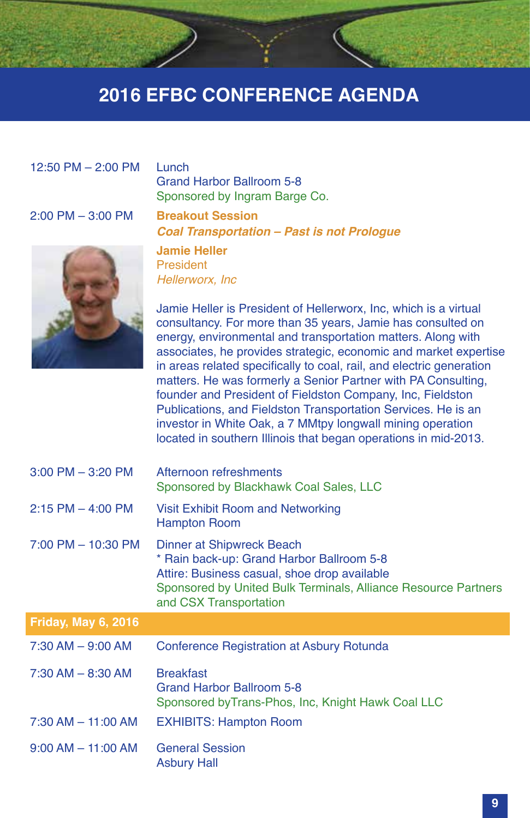### 12:50 PM – 2:00 PM Lunch

Grand Harbor Ballroom 5-8 Sponsored by Ingram Barge Co.

### 2:00 PM – 3:00 PM **Breakout Session**

*Coal Transportation – Past is not Prologue*



**Jamie Heller** President *Hellerworx, Inc*

Asbury Hall

Jamie Heller is President of Hellerworx, Inc, which is a virtual consultancy. For more than 35 years, Jamie has consulted on energy, environmental and transportation matters. Along with associates, he provides strategic, economic and market expertise in areas related specifically to coal, rail, and electric generation matters. He was formerly a Senior Partner with PA Consulting, founder and President of Fieldston Company, Inc, Fieldston Publications, and Fieldston Transportation Services. He is an investor in White Oak, a 7 MMtpy longwall mining operation located in southern Illinois that began operations in mid-2013.

| $3:00$ PM $-$ 3:20 PM      | Afternoon refreshments<br>Sponsored by Blackhawk Coal Sales, LLC                                                                                                                                                   |
|----------------------------|--------------------------------------------------------------------------------------------------------------------------------------------------------------------------------------------------------------------|
| $2:15$ PM $-$ 4:00 PM      | Visit Exhibit Room and Networking<br><b>Hampton Room</b>                                                                                                                                                           |
| 7:00 PM - 10:30 PM         | Dinner at Shipwreck Beach<br>* Rain back-up: Grand Harbor Ballroom 5-8<br>Attire: Business casual, shoe drop available<br>Sponsored by United Bulk Terminals, Alliance Resource Partners<br>and CSX Transportation |
| <b>Friday, May 6, 2016</b> |                                                                                                                                                                                                                    |
| $7:30$ AM $-9:00$ AM       | Conference Registration at Asbury Rotunda                                                                                                                                                                          |
| $7:30$ AM $-$ 8:30 AM      | <b>Breakfast</b><br>Grand Harbor Ballroom 5-8<br>Sponsored by Trans-Phos, Inc, Knight Hawk Coal LLC                                                                                                                |
| $7:30$ AM $-$ 11:00 AM     | <b>EXHIBITS: Hampton Room</b>                                                                                                                                                                                      |
| $9:00$ AM $-$ 11:00 AM     | <b>General Session</b>                                                                                                                                                                                             |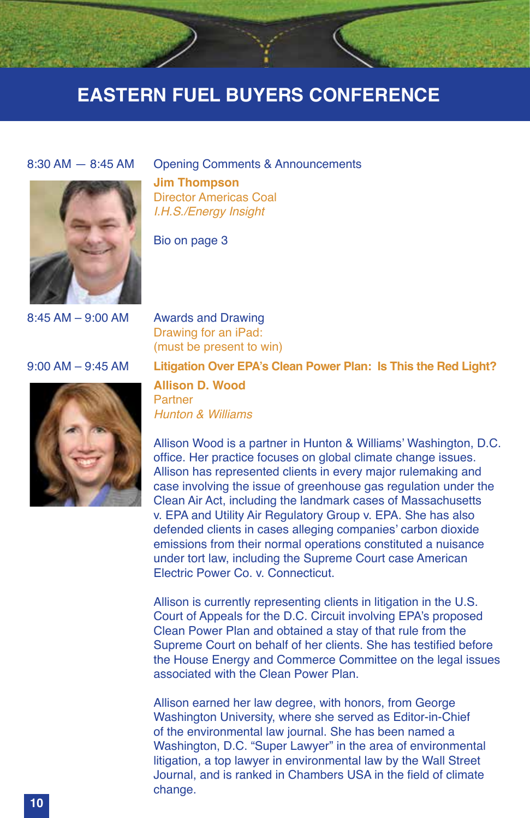

8:30 AM — 8:45 AM Opening Comments & Announcements **Jim Thompson** Director Americas Coal *I.H.S./Energy Insight*

Bio on page 3

8:45 AM – 9:00 AM Awards and Drawing Drawing for an iPad: (must be present to win)



9:00 AM – 9:45 AM **Litigation Over EPA's Clean Power Plan: Is This the Red Light?**

**Allison D. Wood** Partner *Hunton & Williams*

Allison Wood is a partner in Hunton & Williams' Washington, D.C. office. Her practice focuses on global climate change issues. Allison has represented clients in every major rulemaking and case involving the issue of greenhouse gas regulation under the Clean Air Act, including the landmark cases of Massachusetts v. EPA and Utility Air Regulatory Group v. EPA. She has also defended clients in cases alleging companies' carbon dioxide emissions from their normal operations constituted a nuisance under tort law, including the Supreme Court case American Electric Power Co. v. Connecticut.

Allison is currently representing clients in litigation in the U.S. Court of Appeals for the D.C. Circuit involving EPA's proposed Clean Power Plan and obtained a stay of that rule from the Supreme Court on behalf of her clients. She has testified before the House Energy and Commerce Committee on the legal issues associated with the Clean Power Plan.

Allison earned her law degree, with honors, from George Washington University, where she served as Editor-in-Chief of the environmental law journal. She has been named a Washington, D.C. "Super Lawyer" in the area of environmental litigation, a top lawyer in environmental law by the Wall Street Journal, and is ranked in Chambers USA in the field of climate change.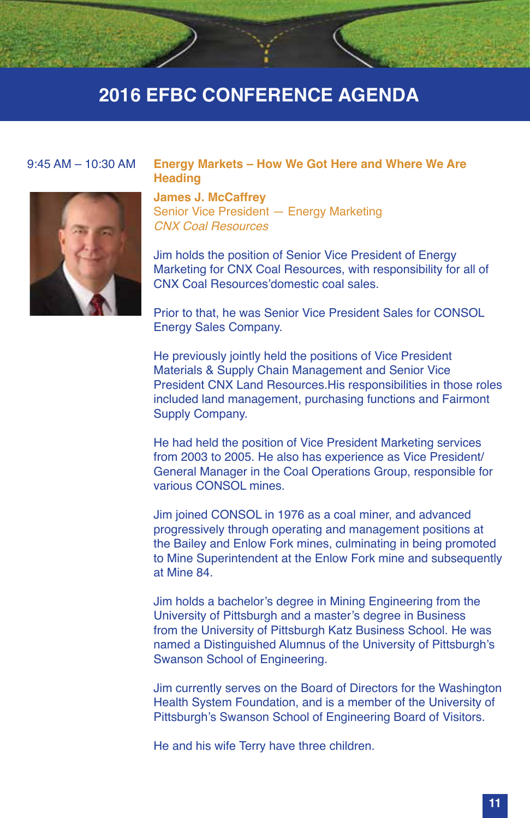

#### 9:45 AM – 10:30 AM **Energy Markets – How We Got Here and Where We Are Heading**

**James J. McCaffrey** Senior Vice President — Energy Marketing *CNX Coal Resources*

Jim holds the position of Senior Vice President of Energy Marketing for CNX Coal Resources, with responsibility for all of CNX Coal Resources'domestic coal sales.

Prior to that, he was Senior Vice President Sales for CONSOL Energy Sales Company.

He previously jointly held the positions of Vice President Materials & Supply Chain Management and Senior Vice President CNX Land Resources.His responsibilities in those roles included land management, purchasing functions and Fairmont Supply Company.

He had held the position of Vice President Marketing services from 2003 to 2005. He also has experience as Vice President/ General Manager in the Coal Operations Group, responsible for various CONSOL mines.

Jim joined CONSOL in 1976 as a coal miner, and advanced progressively through operating and management positions at the Bailey and Enlow Fork mines, culminating in being promoted to Mine Superintendent at the Enlow Fork mine and subsequently at Mine 84.

Jim holds a bachelor's degree in Mining Engineering from the University of Pittsburgh and a master's degree in Business from the University of Pittsburgh Katz Business School. He was named a Distinguished Alumnus of the University of Pittsburgh's Swanson School of Engineering.

Jim currently serves on the Board of Directors for the Washington Health System Foundation, and is a member of the University of Pittsburgh's Swanson School of Engineering Board of Visitors.

He and his wife Terry have three children.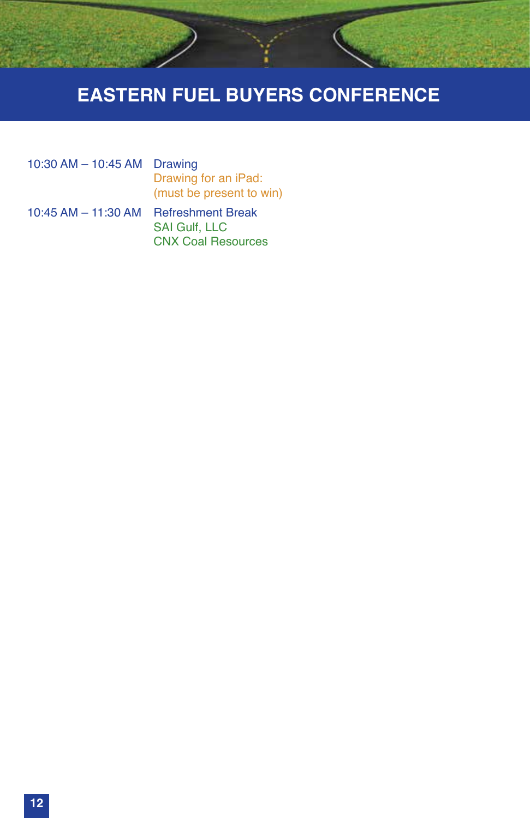

10:30 AM – 10:45 AM Drawing Drawing for an iPad: (must be present to win)

10:45 AM – 11:30 AM Refreshment Break SAI Gulf, LLC CNX Coal Resources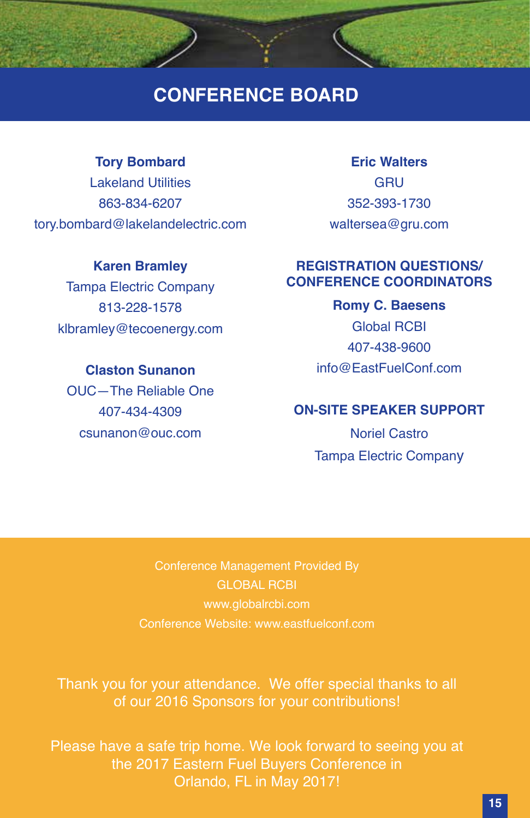### **CONFERENCE BOARD**

### **Tory Bombard**

Lakeland Utilities 863-834-6207 tory.bombard@lakelandelectric.com

### **Karen Bramley**

Tampa Electric Company 813-228-1578 klbramley@tecoenergy.com

**Claston Sunanon** OUC—The Reliable One 407-434-4309 csunanon@ouc.com

### **Eric Walters GRU** 352-393-1730 waltersea@gru.com

### **REGISTRATION QUESTIONS/ CONFERENCE COORDINATORS**

**Romy C. Baesens** Global RCBI 407-438-9600 info@EastFuelConf.com

### **ON-SITE SPEAKER SUPPORT**

Noriel Castro Tampa Electric Company

Conference Management Provided By GLOBAL RCBI www.globalrcbi.com Conference Website: www.eastfuelconf.com

Thank you for your attendance. We offer special thanks to all of our 2016 Sponsors for your contributions!

Please have a safe trip home. We look forward to seeing you at the 2017 Eastern Fuel Buyers Conference in Orlando, FL in May 2017!